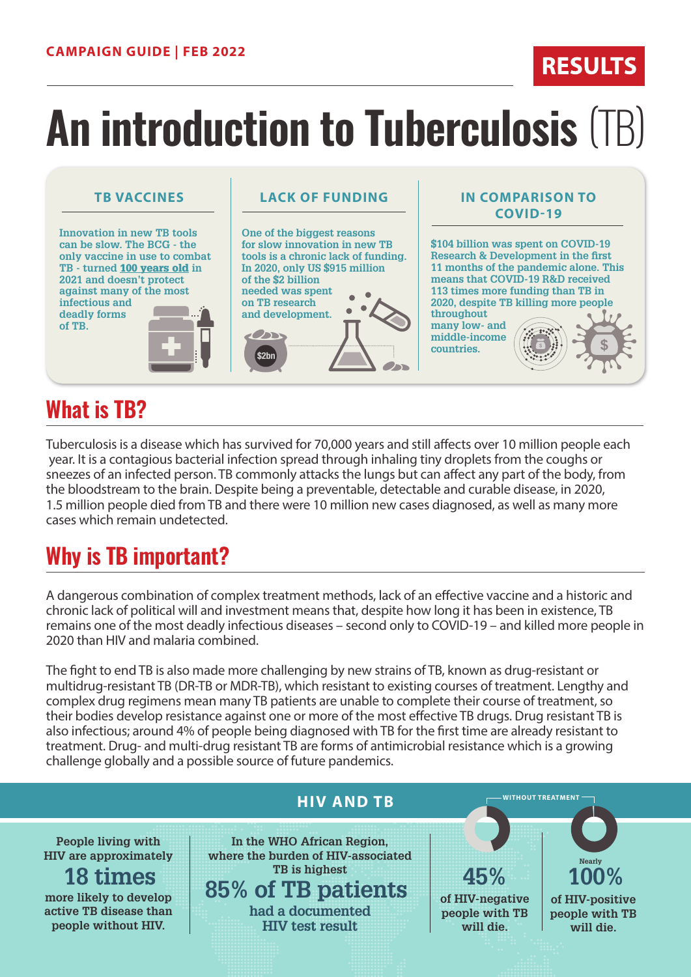# **An introduction to Tuberculosis** (TB)

**Innovation in new TB tools can be slow. The BCG - the only vaccine in use to combat TB - turned** 100 years old **in 2021 and doesn't protect against many of the most infectious and deadly forms of TB.**

### **TB VACCINES LACK OF FUNDING IN COMPARISON TO**



**RESULTS** 

# **What is TB?**

Tuberculosis is a disease which has survived for 70,000 years and still affects over 10 million people each year. It is a contagious bacterial infection spread through inhaling tiny droplets from the coughs or sneezes of an infected person. TB commonly attacks the lungs but can affect any part of the body, from the bloodstream to the brain. Despite being a preventable, detectable and curable disease, in 2020, 1.5 million people died from TB and there were 10 million new cases diagnosed, as well as many more cases which remain undetected.

# **Why is TB important?**

A dangerous combination of complex treatment methods, lack of an effective vaccine and a historic and chronic lack of political will and investment means that, despite how long it has been in existence, TB remains one of the most deadly infectious diseases – second only to COVID-19 – and killed more people in 2020 than HIV and malaria combined.

The fight to end TB is also made more challenging by new strains of TB, known as drug-resistant or multidrug-resistant TB (DR-TB or MDR-TB), which resistant to existing courses of treatment. Lengthy and complex drug regimens mean many TB patients are unable to complete their course of treatment, so their bodies develop resistance against one or more of the most effective TB drugs. Drug resistant TB is also infectious; around 4% of people being diagnosed with TB for the first time are already resistant to treatment. Drug- and multi-drug resistant TB are forms of antimicrobial resistance which is a growing challenge globally and a possible source of future pandemics.

### **HIV AND TB In the WHO African Region, where the burden of HIV-associated TB is highest 85% of TB patients People living with HIV are approximately more likely to develop active TB disease than people without HIV. 18 times had a documented HIV test result 45% of HIV-negative people with TB will die. 100% of HIV-positive people with TB will die. Nearly WITHOUT TREATMENT**